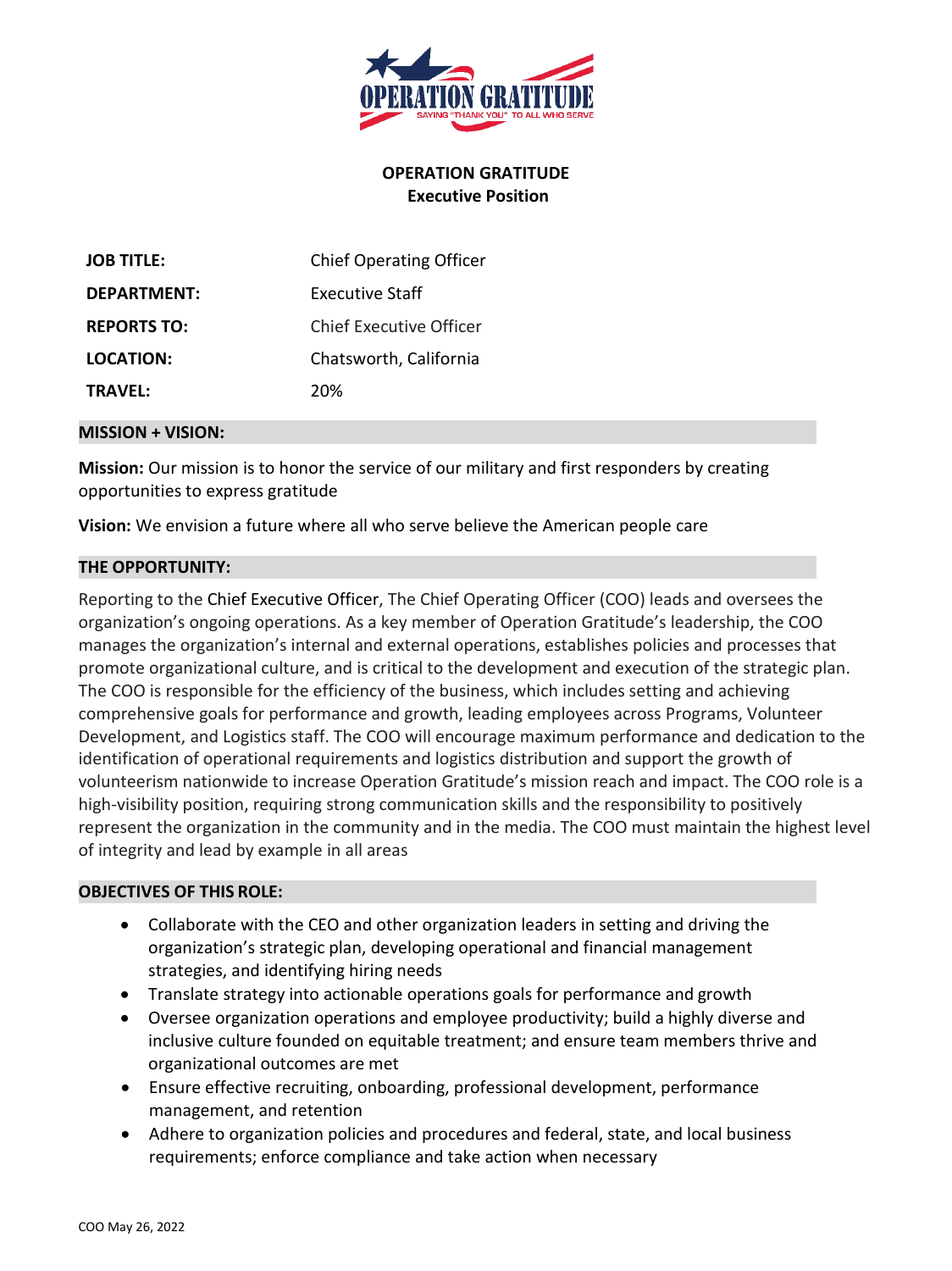

## **OPERATION GRATITUDE Executive Position**

| <b>JOB TITLE:</b>  | <b>Chief Operating Officer</b> |
|--------------------|--------------------------------|
| DEPARTMENT:        | Executive Staff                |
| <b>REPORTS TO:</b> | Chief Executive Officer        |
| LOCATION:          | Chatsworth, California         |
| <b>TRAVFL:</b>     | 20%                            |

#### **MISSION + VISION:**

**Mission:** Our mission is to honor the service of our military and first responders by creating opportunities to express gratitude

**Vision:** We envision a future where all who serve believe the American people care

### **THE OPPORTUNITY:**

Reporting to the Chief Executive Officer, The Chief Operating Officer (COO) leads and oversees the organization's ongoing operations. As a key member of Operation Gratitude's leadership, the COO manages the organization's internal and external operations, establishes policies and processes that promote organizational culture, and is critical to the development and execution of the strategic plan. The COO is responsible for the efficiency of the business, which includes setting and achieving comprehensive goals for performance and growth, leading employees across Programs, Volunteer Development, and Logistics staff. The COO will encourage maximum performance and dedication to the identification of operational requirements and logistics distribution and support the growth of volunteerism nationwide to increase Operation Gratitude's mission reach and impact. The COO role is a high-visibility position, requiring strong communication skills and the responsibility to positively represent the organization in the community and in the media. The COO must maintain the highest level of integrity and lead by example in all areas

### **OBJECTIVES OF THIS ROLE:**

- Collaborate with the CEO and other organization leaders in setting and driving the organization's strategic plan, developing operational and financial management strategies, and identifying hiring needs
- Translate strategy into actionable operations goals for performance and growth
- Oversee organization operations and employee productivity; build a highly diverse and inclusive culture founded on equitable treatment; and ensure team members thrive and organizational outcomes are met
- Ensure effective recruiting, onboarding, professional development, performance management, and retention
- Adhere to organization policies and procedures and federal, state, and local business requirements; enforce compliance and take action when necessary